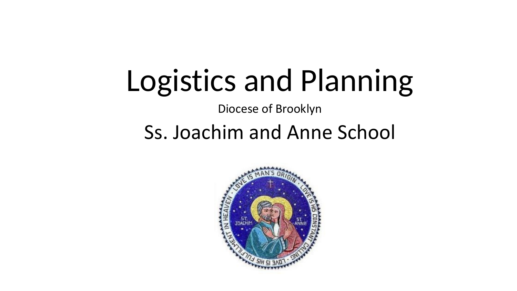# Logistics and Planning

Diocese of Brooklyn

#### Ss. Joachim and Anne School

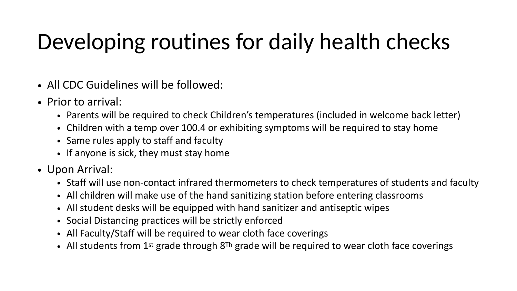### Developing routines for daily health checks

- All CDC Guidelines will be followed:
- Prior to arrival:
	- Parents will be required to check Children's temperatures (included in welcome back letter)
	- Children with a temp over 100.4 or exhibiting symptoms will be required to stay home
	- Same rules apply to staff and faculty
	- If anyone is sick, they must stay home
- Upon Arrival:
	- Staff will use non-contact infrared thermometers to check temperatures of students and faculty
	- All children will make use of the hand sanitizing station before entering classrooms
	- All student desks will be equipped with hand sanitizer and antiseptic wipes
	- Social Distancing practices will be strictly enforced
	- All Faculty/Staff will be required to wear cloth face coverings
	- All students from  $1^{st}$  grade through  $8^{Th}$  grade will be required to wear cloth face coverings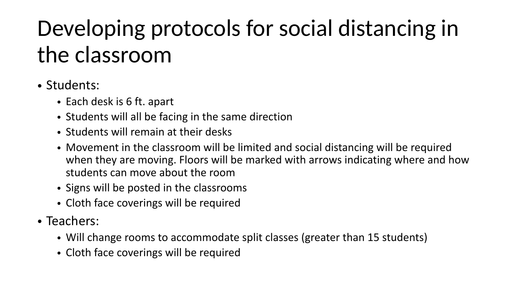# Developing protocols for social distancing in the classroom

#### • Students:

- Each desk is 6 ft. apart
- Students will all be facing in the same direction
- Students will remain at their desks
- Movement in the classroom will be limited and social distancing will be required when they are moving. Floors will be marked with arrows indicating where and how students can move about the room
- Signs will be posted in the classrooms
- Cloth face coverings will be required
- Teachers:
	- Will change rooms to accommodate split classes (greater than 15 students)
	- Cloth face coverings will be required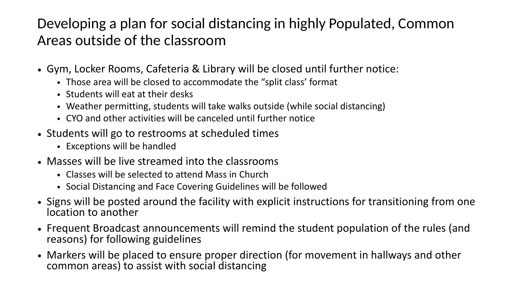#### Developing a plan for social distancing in highly Populated, Common Areas outside of the classroom

- Gym, Locker Rooms, Cafeteria & Library will be closed until further notice:
	- Those area will be closed to accommodate the "split class' format
	- Students will eat at their desks
	- Weather permitting, students will take walks outside (while social distancing)
	- CYO and other activities will be canceled until further notice
- Students will go to restrooms at scheduled times
	- Exceptions will be handled
- Masses will be live streamed into the classrooms
	- Classes will be selected to attend Mass in Church
	- Social Distancing and Face Covering Guidelines will be followed
- Signs will be posted around the facility with explicit instructions for transitioning from one location to another
- Frequent Broadcast announcements will remind the student population of the rules (and reasons) for following guidelines
- Markers will be placed to ensure proper direction (for movement in hallways and other common areas) to assist with social distancing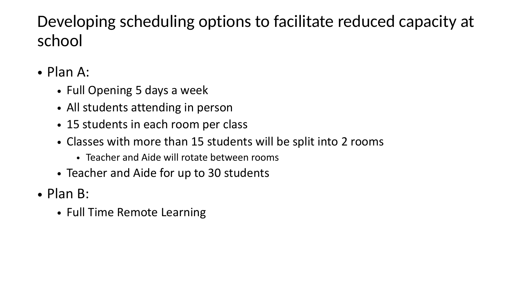#### Developing scheduling options to facilitate reduced capacity at school

- Plan A:
	- Full Opening 5 days a week
	- All students attending in person
	- 15 students in each room per class
	- Classes with more than 15 students will be split into 2 rooms
		- Teacher and Aide will rotate between rooms
	- Teacher and Aide for up to 30 students
- Plan B:
	- Full Time Remote Learning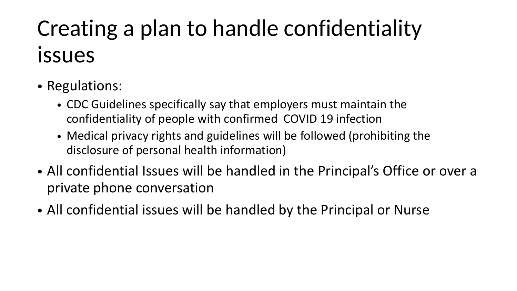# Creating a plan to handle confidentiality issues

- Regulations:
	- CDC Guidelines specifically say that employers must maintain the confidentiality of people with confirmed COVID 19 infection
	- Medical privacy rights and guidelines will be followed (prohibiting the disclosure of personal health information)
- All confidential Issues will be handled in the Principal's Office or over a private phone conversation
- All confidential issues will be handled by the Principal or Nurse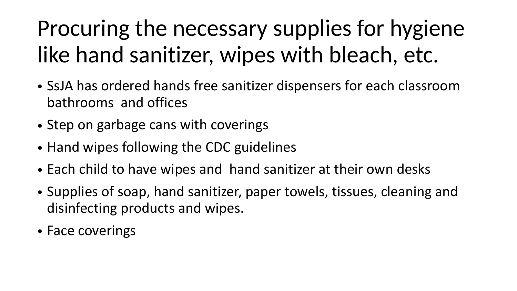# Procuring the necessary supplies for hygiene like hand sanitizer, wipes with bleach, etc.

- SsJA has ordered hands free sanitizer dispensers for each classroom bathrooms and offices
- Step on garbage cans with coverings
- Hand wipes following the CDC guidelines
- Each child to have wipes and hand sanitizer at their own desks
- Supplies of soap, hand sanitizer, paper towels, tissues, cleaning and disinfecting products and wipes.
- Face coverings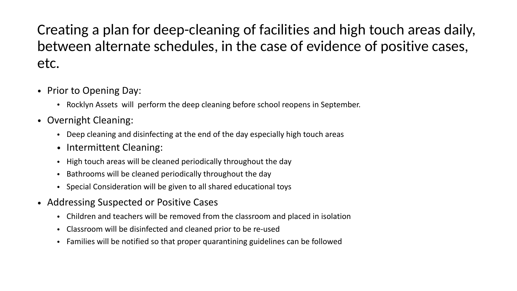Creating a plan for deep-cleaning of facilities and high touch areas daily, between alternate schedules, in the case of evidence of positive cases, etc.

- Prior to Opening Day:
	- Rocklyn Assets will perform the deep cleaning before school reopens in September.
- Overnight Cleaning:
	- Deep cleaning and disinfecting at the end of the day especially high touch areas
	- Intermittent Cleaning:
	- High touch areas will be cleaned periodically throughout the day
	- Bathrooms will be cleaned periodically throughout the day
	- Special Consideration will be given to all shared educational toys
- Addressing Suspected or Positive Cases
	- Children and teachers will be removed from the classroom and placed in isolation
	- Classroom will be disinfected and cleaned prior to be re-used
	- Families will be notified so that proper quarantining guidelines can be followed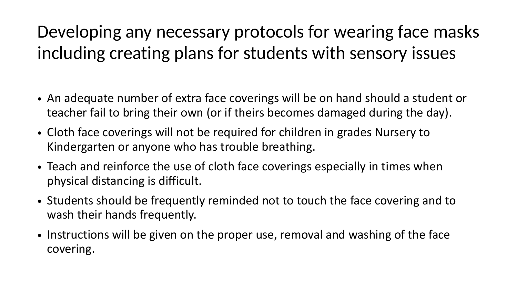#### Developing any necessary protocols for wearing face masks including creating plans for students with sensory issues

- An adequate number of extra face coverings will be on hand should a student or teacher fail to bring their own (or if theirs becomes damaged during the day).
- Cloth face coverings will not be required for children in grades Nursery to Kindergarten or anyone who has trouble breathing.
- Teach and reinforce the use of cloth face coverings especially in times when physical distancing is difficult.
- Students should be frequently reminded not to touch the face covering and to wash their hands frequently.
- Instructions will be given on the proper use, removal and washing of the face covering.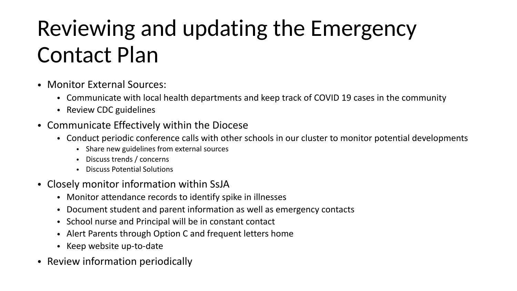## Reviewing and updating the Emergency Contact Plan

- Monitor External Sources:
	- Communicate with local health departments and keep track of COVID 19 cases in the community
	- Review CDC guidelines
- Communicate Effectively within the Diocese
	- Conduct periodic conference calls with other schools in our cluster to monitor potential developments
		- Share new guidelines from external sources
		- Discuss trends / concerns
		- Discuss Potential Solutions
- Closely monitor information within SsJA
	- Monitor attendance records to identify spike in illnesses
	- Document student and parent information as well as emergency contacts
	- School nurse and Principal will be in constant contact
	- Alert Parents through Option C and frequent letters home
	- Keep website up-to-date
- Review information periodically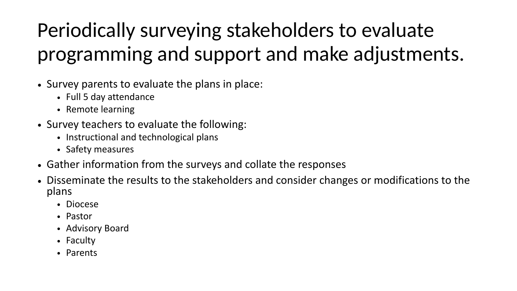#### Periodically surveying stakeholders to evaluate programming and support and make adjustments.

- Survey parents to evaluate the plans in place:
	- Full 5 day attendance
	- Remote learning
- Survey teachers to evaluate the following:
	- Instructional and technological plans
	- Safety measures
- Gather information from the surveys and collate the responses
- Disseminate the results to the stakeholders and consider changes or modifications to the plans
	- Diocese
	- Pastor
	- Advisory Board
	- Faculty
	- Parents